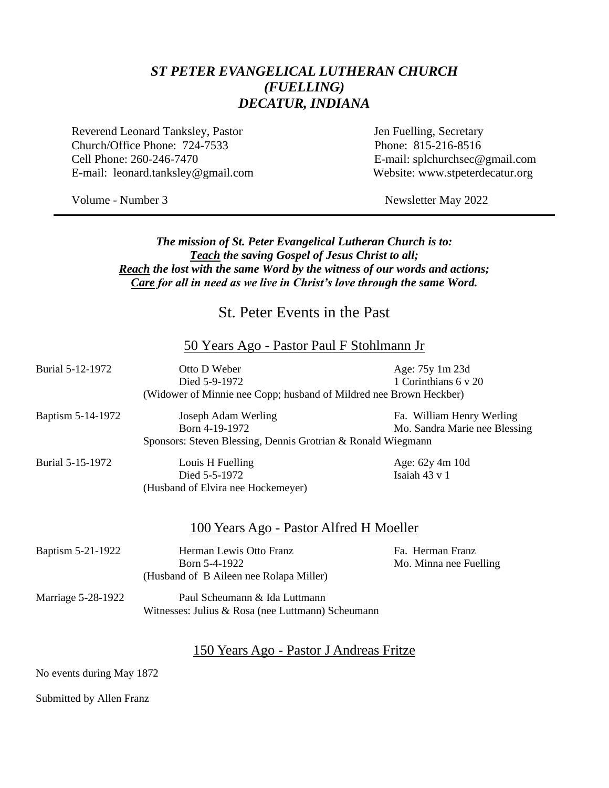### *ST PETER EVANGELICAL LUTHERAN CHURCH (FUELLING) DECATUR, INDIANA*

Reverend Leonard Tanksley, Pastor Jen Fuelling, Secretary Church/Office Phone: 724-7533 Phone: 815-216-8516 Cell Phone: 260-246-7470 E-mail: splchurchsec@gmail.com E-mail: leonard.tanksley@gmail.com Website: www.stpeterdecatur.org

Volume - Number 3 Newsletter May 2022

#### *The mission of St. Peter Evangelical Lutheran Church is to: Teach the saving Gospel of Jesus Christ to all; Reach the lost with the same Word by the witness of our words and actions; Care for all in need as we live in Christ's love through the same Word.*

# St. Peter Events in the Past

#### 50 Years Ago - Pastor Paul F Stohlmann Jr

| Burial 5-12-1972                                             | Otto D Weber                                                       | Age: 75y 1m 23d               |  |
|--------------------------------------------------------------|--------------------------------------------------------------------|-------------------------------|--|
|                                                              | Died 5-9-1972                                                      | 1 Corinthians 6 y 20          |  |
|                                                              | (Widower of Minnie nee Copp; husband of Mildred nee Brown Heckber) |                               |  |
| Baptism 5-14-1972                                            | Joseph Adam Werling                                                | Fa. William Henry Werling     |  |
|                                                              | Born 4-19-1972                                                     | Mo. Sandra Marie nee Blessing |  |
| Sponsors: Steven Blessing, Dennis Grotrian & Ronald Wiegmann |                                                                    |                               |  |
| Burial 5-15-1972                                             | Louis H Fuelling                                                   | Age: 62y 4m 10d               |  |
|                                                              | Died 5-5-1972                                                      | Isaiah 43 v 1                 |  |
|                                                              | (Husband of Elvira nee Hockemeyer)                                 |                               |  |
|                                                              |                                                                    |                               |  |
|                                                              |                                                                    |                               |  |
|                                                              | 100 Years Ago - Pastor Alfred H Moeller                            |                               |  |
| Baptism 5-21-1922                                            | Herman Lewis Otto Franz                                            | Fa. Herman Franz              |  |
|                                                              | Born 5-4-1922                                                      | Mo. Minna nee Fuelling        |  |
|                                                              | (Husband of B Aileen nee Rolapa Miller)                            |                               |  |
|                                                              | Paul Scheumann & Ida Luttmann                                      |                               |  |
| Marriage 5-28-1922                                           |                                                                    |                               |  |
|                                                              | Witnesses: Julius & Rosa (nee Luttmann) Scheumann                  |                               |  |
|                                                              |                                                                    |                               |  |
|                                                              |                                                                    |                               |  |

#### 150 Years Ago - Pastor J Andreas Fritze

No events during May 1872

Submitted by Allen Franz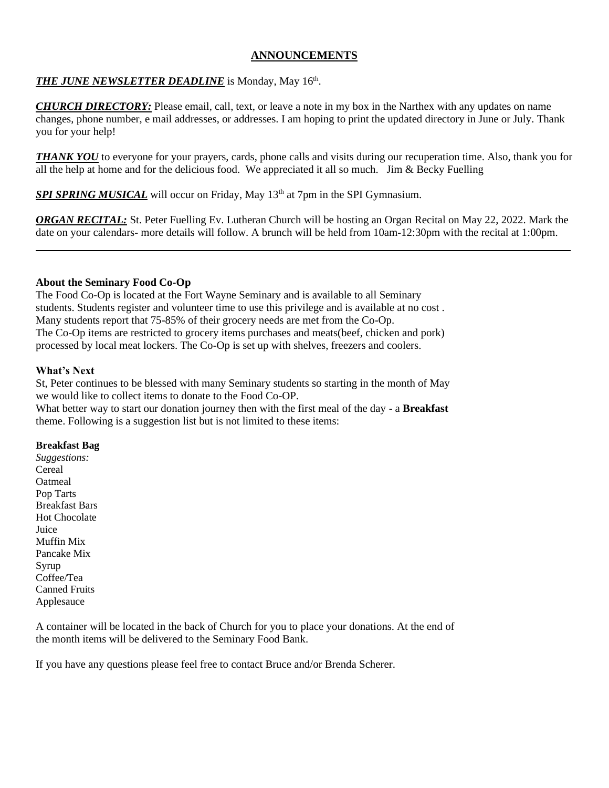#### **ANNOUNCEMENTS**

#### *THE JUNE NEWSLETTER DEADLINE* is Monday, May 16th .

*CHURCH DIRECTORY:* Please email, call, text, or leave a note in my box in the Narthex with any updates on name changes, phone number, e mail addresses, or addresses. I am hoping to print the updated directory in June or July. Thank you for your help!

*THANK YOU* to everyone for your prayers, cards, phone calls and visits during our recuperation time. Also, thank you for all the help at home and for the delicious food. We appreciated it all so much. Jim & Becky Fuelling

*SPI SPRING MUSICAL* will occur on Friday, May 13<sup>th</sup> at 7pm in the SPI Gymnasium.

*ORGAN RECITAL:* St. Peter Fuelling Ev. Lutheran Church will be hosting an Organ Recital on May 22, 2022. Mark the date on your calendars- more details will follow. A brunch will be held from 10am-12:30pm with the recital at 1:00pm.

#### **About the Seminary Food Co-Op**

The Food Co-Op is located at the Fort Wayne Seminary and is available to all Seminary students. Students register and volunteer time to use this privilege and is available at no cost . Many students report that 75-85% of their grocery needs are met from the Co-Op. The Co-Op items are restricted to grocery items purchases and meats(beef, chicken and pork) processed by local meat lockers. The Co-Op is set up with shelves, freezers and coolers.

#### **What's Next**

St, Peter continues to be blessed with many Seminary students so starting in the month of May we would like to collect items to donate to the Food Co-OP.

What better way to start our donation journey then with the first meal of the day - a **Breakfast** theme. Following is a suggestion list but is not limited to these items:

#### **Breakfast Bag**

*Suggestions:* Cereal Oatmeal Pop Tarts Breakfast Bars Hot Chocolate Juice Muffin Mix Pancake Mix Syrup Coffee/Tea Canned Fruits Applesauce

A container will be located in the back of Church for you to place your donations. At the end of the month items will be delivered to the Seminary Food Bank.

If you have any questions please feel free to contact Bruce and/or Brenda Scherer.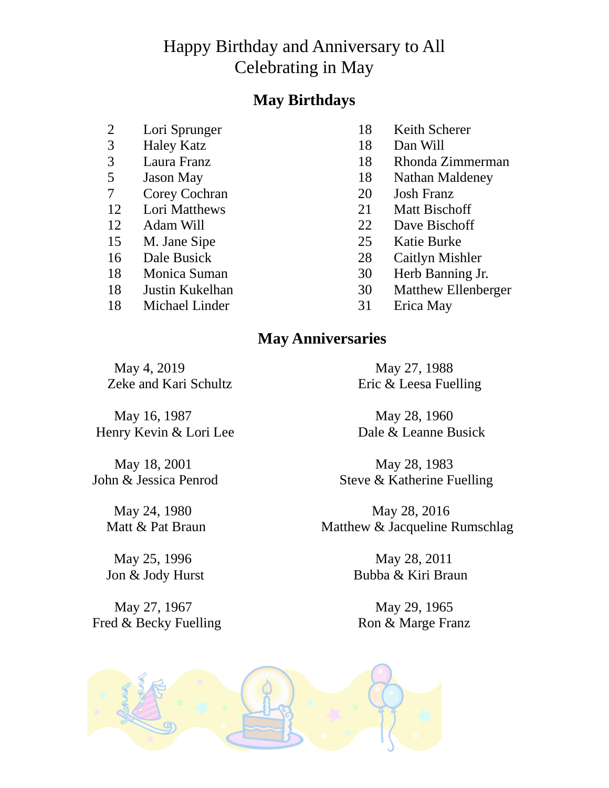# Happy Birthday and Anniversary to All Celebrating in May

# **May Birthdays**

- 2 Lori Sprunger 18 Keith Scherer<br>
3 Haley Katz 18 Dan Will
- 
- 
- 
- 7 Corey Cochran 20 Josh Franz
- 
- 
- 
- 
- 
- 
- 18 Michael Linder 31 Erica May
- 
- 3 Haley Katz 18 Dan Will
- 3 Laura Franz 18 Rhonda Zimmerman<br>5 Jason May 18 Nathan Maldeney
	- **Jason May** 18 Nathan Maldeney
		-
- 12 Lori Matthews 21 Matt Bischoff
- 12 Adam Will 22 Dave Bischoff
- 15 M. Jane Sipe 25 Katie Burke
- 16 Dale Busick 28 Caitlyn Mishler
- 18 Monica Suman 30 Herb Banning Jr.
- 18 Justin Kukelhan 30 Matthew Ellenberger
	-

# **May Anniversaries**

May 4, 2019 May 27, 1988

Zeke and Kari Schultz Eric & Leesa Fuelling

May 16, 1987 May 28, 1960 Henry Kevin & Lori Lee Dale & Leanne Busick

May 27, 1967 May 29, 1965 Fred & Becky Fuelling Ron & Marge Franz

May 18, 2001 May 28, 1983 John & Jessica Penrod Steve & Katherine Fuelling

May 24, 1980 May 28, 2016 Matt & Pat Braun Matthew & Jacqueline Rumschlag

May 25, 1996 May 28, 2011 Jon & Jody Hurst Bubba & Kiri Braun

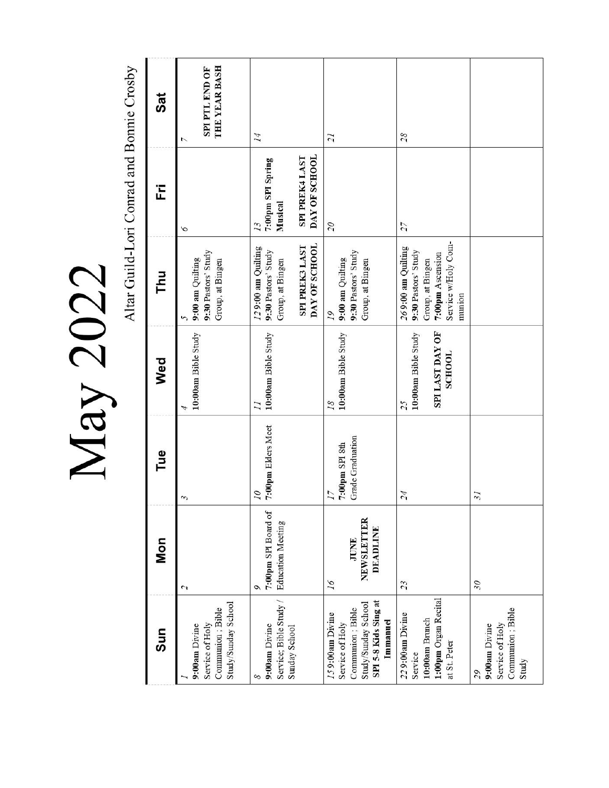May 2022

Altar Guild-Lori Conrad and Bonnie Crosby

| Sun                                                                                                                | <b>Mon</b>                                           | Tue                                             | Wed                                                    | ᄅ                                                                                                                  | Ë                                                                     | Sat                                  |
|--------------------------------------------------------------------------------------------------------------------|------------------------------------------------------|-------------------------------------------------|--------------------------------------------------------|--------------------------------------------------------------------------------------------------------------------|-----------------------------------------------------------------------|--------------------------------------|
| Study/Sunday School<br>Communion; Bible<br>Service of Holy<br>9:00am Divine                                        | $\mathcal{L}$                                        | 3                                               | 10:00am Bible Study                                    | 9:30 Pastors' Study<br>9:00 am Quilting<br>Group, at Bingen<br>5                                                   | 6                                                                     | THE YEAR BASH<br>SPI PTL END OF<br>L |
| Service; Bible Study /<br>9:00am Divine<br>Sunday School<br>8                                                      | 7:00pm SPI Board of<br><b>Education Meeting</b><br>Q | 7:00pm Elders Meet<br>07                        | 10:00am Bible Study<br>$\overline{I}$                  | DAY OF SCHOOL<br>SPI PREK3 LAST<br>129:00 am Quilting<br>9:30 Pastors' Study<br>Group, at Bingen                   | DAY OF SCHOOL<br>SPI PREK4 LAST<br>7:00pm SPI Spring<br>Musical<br>13 | 14                                   |
| SPI 5-8 Kids Sing at<br>Study/Sunday School<br>Communion ; Bible<br>159:00am Divine<br>Immanuel<br>Service of Holy | NEWSLETTER<br><b>DEADLINE</b><br>JUNE<br>16          | <b>Grade Graduation</b><br>7:00pm SPI 8th<br>17 | 10:00am Bible Study<br>18                              | 9:30 Pastors' Study<br>9:00 am Quilting<br>Group, at Bingen<br>19                                                  | $\overline{\mathcal{C}}$                                              | $\overline{21}$                      |
| 1:00pm Organ Recital<br>229:00am Divine<br>10:00am Brunch<br>at St. Peter<br>Service                               | 23                                                   | 24                                              | SPI LAST DAY OF<br>10:00am Bible Study<br>SCHOOL<br>25 | Service w/Holy Com-<br>269:00 am Quilting<br>9:30 Pastors' Study<br>7:00pm Ascension<br>Group, at Bingen<br>munion | 27                                                                    | 28                                   |
| Communion; Bible<br>Service of Holy<br>9:00am Divine<br>Study<br>29                                                | 30                                                   | $\tilde{\mathcal{E}}$                           |                                                        |                                                                                                                    |                                                                       |                                      |